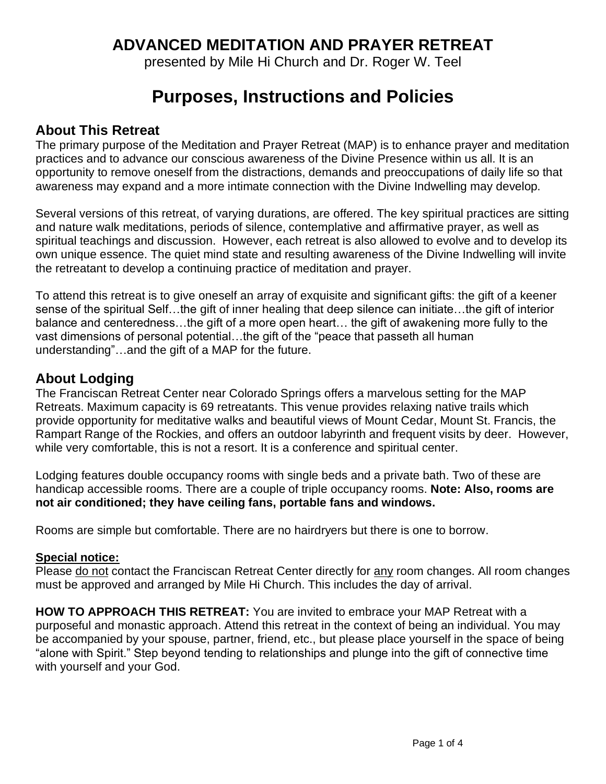# **ADVANCED MEDITATION AND PRAYER RETREAT**

presented by Mile Hi Church and Dr. Roger W. Teel

# **Purposes, Instructions and Policies**

### **About This Retreat**

The primary purpose of the Meditation and Prayer Retreat (MAP) is to enhance prayer and meditation practices and to advance our conscious awareness of the Divine Presence within us all. It is an opportunity to remove oneself from the distractions, demands and preoccupations of daily life so that awareness may expand and a more intimate connection with the Divine Indwelling may develop.

Several versions of this retreat, of varying durations, are offered. The key spiritual practices are sitting and nature walk meditations, periods of silence, contemplative and affirmative prayer, as well as spiritual teachings and discussion. However, each retreat is also allowed to evolve and to develop its own unique essence. The quiet mind state and resulting awareness of the Divine Indwelling will invite the retreatant to develop a continuing practice of meditation and prayer.

To attend this retreat is to give oneself an array of exquisite and significant gifts: the gift of a keener sense of the spiritual Self…the gift of inner healing that deep silence can initiate…the gift of interior balance and centeredness…the gift of a more open heart… the gift of awakening more fully to the vast dimensions of personal potential…the gift of the "peace that passeth all human understanding"…and the gift of a MAP for the future.

### **About Lodging**

The Franciscan Retreat Center near Colorado Springs offers a marvelous setting for the MAP Retreats. Maximum capacity is 69 retreatants. This venue provides relaxing native trails which provide opportunity for meditative walks and beautiful views of Mount Cedar, Mount St. Francis, the Rampart Range of the Rockies, and offers an outdoor labyrinth and frequent visits by deer. However, while very comfortable, this is not a resort. It is a conference and spiritual center.

Lodging features double occupancy rooms with single beds and a private bath. Two of these are handicap accessible rooms. There are a couple of triple occupancy rooms. **Note: Also, rooms are not air conditioned; they have ceiling fans, portable fans and windows.**

Rooms are simple but comfortable. There are no hairdryers but there is one to borrow.

#### **Special notice:**

Please do not contact the Franciscan Retreat Center directly for any room changes. All room changes must be approved and arranged by Mile Hi Church. This includes the day of arrival.

**HOW TO APPROACH THIS RETREAT:** You are invited to embrace your MAP Retreat with a purposeful and monastic approach. Attend this retreat in the context of being an individual. You may be accompanied by your spouse, partner, friend, etc., but please place yourself in the space of being "alone with Spirit." Step beyond tending to relationships and plunge into the gift of connective time with yourself and your God.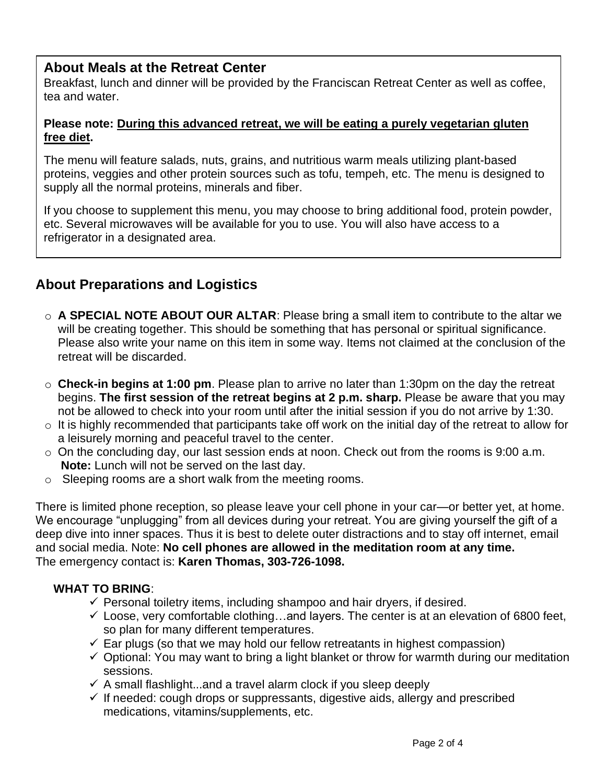## **About Meals at the Retreat Center**

Breakfast, lunch and dinner will be provided by the Franciscan Retreat Center as well as coffee, tea and water.

#### **Please note: During this advanced retreat, we will be eating a purely vegetarian gluten free diet.**

The menu will feature salads, nuts, grains, and nutritious warm meals utilizing plant-based proteins, veggies and other protein sources such as tofu, tempeh, etc. The menu is designed to supply all the normal proteins, minerals and fiber.

If you choose to supplement this menu, you may choose to bring additional food, protein powder, etc. Several microwaves will be available for you to use. You will also have access to a refrigerator in a designated area.

# **About Preparations and Logistics**

- o **A SPECIAL NOTE ABOUT OUR ALTAR**: Please bring a small item to contribute to the altar we will be creating together. This should be something that has personal or spiritual significance. Please also write your name on this item in some way. Items not claimed at the conclusion of the retreat will be discarded.
- o **Check-in begins at 1:00 pm**. Please plan to arrive no later than 1:30pm on the day the retreat begins. **The first session of the retreat begins at 2 p.m. sharp.** Please be aware that you may not be allowed to check into your room until after the initial session if you do not arrive by 1:30.
- o It is highly recommended that participants take off work on the initial day of the retreat to allow for a leisurely morning and peaceful travel to the center.
- o On the concluding day, our last session ends at noon. Check out from the rooms is 9:00 a.m.  **Note:** Lunch will not be served on the last day.
- o Sleeping rooms are a short walk from the meeting rooms.

There is limited phone reception, so please leave your cell phone in your car—or better yet, at home. We encourage "unplugging" from all devices during your retreat. You are giving yourself the gift of a deep dive into inner spaces. Thus it is best to delete outer distractions and to stay off internet, email and social media. Note: **No cell phones are allowed in the meditation room at any time.** The emergency contact is: **Karen Thomas, 303-726-1098.**

#### **WHAT TO BRING**:

- $\checkmark$  Personal toiletry items, including shampoo and hair dryers, if desired.
- $\checkmark$  Loose, very comfortable clothing...and layers. The center is at an elevation of 6800 feet, so plan for many different temperatures.
- $\checkmark$  Ear plugs (so that we may hold our fellow retreatants in highest compassion)
- $\checkmark$  Optional: You may want to bring a light blanket or throw for warmth during our meditation sessions.
- $\checkmark$  A small flashlight...and a travel alarm clock if you sleep deeply
- $\checkmark$  If needed: cough drops or suppressants, digestive aids, allergy and prescribed medications, vitamins/supplements, etc.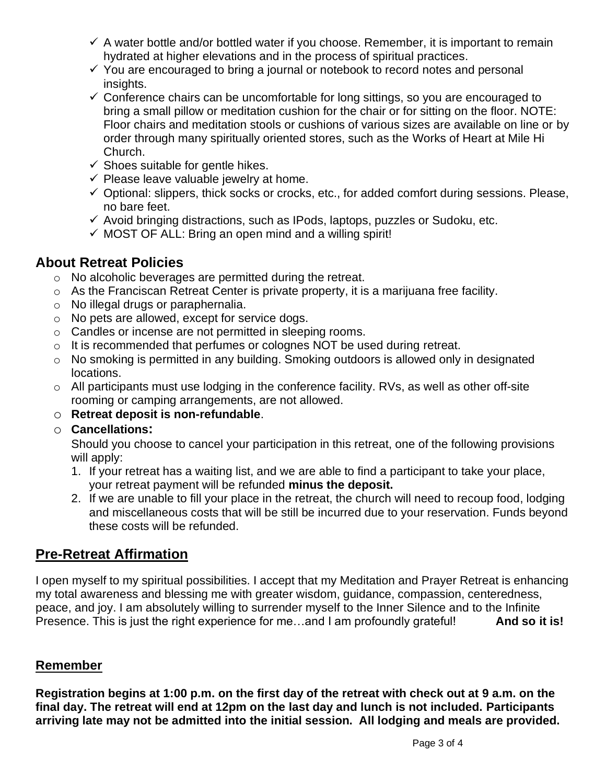- $\checkmark$  A water bottle and/or bottled water if you choose. Remember, it is important to remain hydrated at higher elevations and in the process of spiritual practices.
- $\checkmark$  You are encouraged to bring a journal or notebook to record notes and personal insights.
- $\checkmark$  Conference chairs can be uncomfortable for long sittings, so you are encouraged to bring a small pillow or meditation cushion for the chair or for sitting on the floor. NOTE: Floor chairs and meditation stools or cushions of various sizes are available on line or by order through many spiritually oriented stores, such as the Works of Heart at Mile Hi Church.
- $\checkmark$  Shoes suitable for gentle hikes.
- $\checkmark$  Please leave valuable jewelry at home.
- $\checkmark$  Optional: slippers, thick socks or crocks, etc., for added comfort during sessions. Please, no bare feet.
- $\checkmark$  Avoid bringing distractions, such as IPods, laptops, puzzles or Sudoku, etc.
- $\checkmark$  MOST OF ALL: Bring an open mind and a willing spirit!

### **About Retreat Policies**

- o No alcoholic beverages are permitted during the retreat.
- o As the Franciscan Retreat Center is private property, it is a marijuana free facility.
- o No illegal drugs or paraphernalia.
- o No pets are allowed, except for service dogs.
- o Candles or incense are not permitted in sleeping rooms.
- o It is recommended that perfumes or colognes NOT be used during retreat.
- o No smoking is permitted in any building. Smoking outdoors is allowed only in designated locations.
- o All participants must use lodging in the conference facility. RVs, as well as other off-site rooming or camping arrangements, are not allowed.
- o **Retreat deposit is non-refundable**.
- o **Cancellations:**

Should you choose to cancel your participation in this retreat, one of the following provisions will apply:

- 1. If your retreat has a waiting list, and we are able to find a participant to take your place, your retreat payment will be refunded **minus the deposit.**
- 2. If we are unable to fill your place in the retreat, the church will need to recoup food, lodging and miscellaneous costs that will be still be incurred due to your reservation. Funds beyond these costs will be refunded.

# **Pre-Retreat Affirmation**

I open myself to my spiritual possibilities. I accept that my Meditation and Prayer Retreat is enhancing my total awareness and blessing me with greater wisdom, guidance, compassion, centeredness, peace, and joy. I am absolutely willing to surrender myself to the Inner Silence and to the Infinite Presence. This is just the right experience for me...and I am profoundly grateful! **And so it is!** 

#### **Remember**

**Registration begins at 1:00 p.m. on the first day of the retreat with check out at 9 a.m. on the final day. The retreat will end at 12pm on the last day and lunch is not included. Participants arriving late may not be admitted into the initial session. All lodging and meals are provided.**